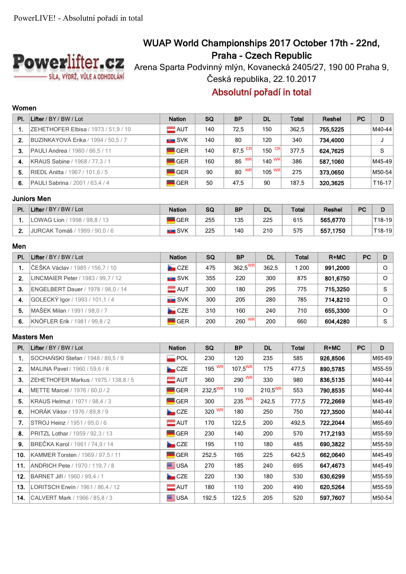

# **WUAP World Championships 2017 October 17th - 22nd, Praha - Czech Republic**

Arena Sparta Podvinný mlýn, Kovanecká 2405/27, 190 00 Praha 9, Česká republika, 22.10.2017

## **Absolutní pořadí in total**

### **Women**

| PI. | Lifter / $BY$ / $BW$ / $Lot$         | <b>Nation</b>      | SQ  | <b>BP</b> | <b>DL</b> | <b>Total</b> | Reshel   | <b>PC</b> | D        |
|-----|--------------------------------------|--------------------|-----|-----------|-----------|--------------|----------|-----------|----------|
|     | ZEHETHOFER Elbisa / 1973 / 51,9 / 10 | $\equiv$ AUT       | 140 | 72.5      | 150       | 362.5        | 755.5225 |           | M40-44   |
| 2.  | BUZINKAYOVÁ Erika / 1994 / 50,5 / 7  | $\blacksquare$ SVK | 140 | 80        | 120       | 340          | 734.4000 |           | J        |
| 3.  | PAULI Andrea / 1980 / 66,5 / 11      | <b>GER</b>         | 140 | 87.5 $CR$ | 150 $CR$  | 377.5        | 624.7625 |           | S        |
| 4.  | KRAUS Sabine / 1968 / 77,3 / 1       | <b>GER</b>         | 160 | WR<br>86  | 140 $W$ R | 386          | 587.1060 |           | M45-49   |
| 5.  | RIEDL Anitta / 1967 / 101.6 / 5      | <b>GER</b>         | 90  | WR<br>80  | $105$ WR  | 275          | 373,0650 |           | M50-54   |
| 6.  | PAULI Sabrina / 2001 / 63,4 / 4      | <b>GER</b>         | 50  | 47.5      | 90        | 187.5        | 320.3625 |           | $T16-17$ |

## **Juniors Men**

| PI. | Lifter / BY / BW / Lot         | <b>Nation</b>               | SG  | ΒP  | <b>DL</b> | Total | Reshel   | <b>PC</b> |        |
|-----|--------------------------------|-----------------------------|-----|-----|-----------|-------|----------|-----------|--------|
|     | LOWAG Lion / 1998 / 98.8 / 13  | <b>GER</b>                  | 255 | 135 | 225       | 615   | 565,6770 |           | T18-19 |
|     | JURCAK Tomáš / 1999 / 90.0 / 6 | ---------<br><b>ELE</b> SVK | 225 | 140 | 210       | 575   | 557,1750 |           | T18-19 |

#### **Men**

| PI. | Lifter / BY / BW / Lot             | <b>Nation</b>      | <b>SQ</b> | <b>BP</b>           | <b>DL</b> | <b>Total</b> | $R+MC$   | <b>PC</b> | D        |
|-----|------------------------------------|--------------------|-----------|---------------------|-----------|--------------|----------|-----------|----------|
|     | ČEŠKA Václav / 1985 / 156,7 / 10   | CZE                | 475       | 362.5 <sup>WR</sup> | 362.5     | 1 200        | 991,2000 |           | $\Omega$ |
| 2.  | LINCMAIER Peter / 1983 / 99.7 / 12 | $\blacksquare$ SVK | 355       | 220                 | 300       | 875          | 801.6750 |           | $\Omega$ |
| 3.  | ENGELBERT Dauer / 1978 / 98,0 / 14 | $=$ AUT            | 300       | 180                 | 295       | 775          | 715.3250 |           | S        |
| 4.  | GOLECKÝ Igor / 1993 / 101,1 / 4    | SVK                | 300       | 205                 | 280       | 785          | 714.8210 |           | $\Omega$ |
| 5.  | MAŠEK Milan / 1991 / 98.0 / 7      | CZE                | 310       | 160                 | 240       | 710          | 655.3300 |           | $\Omega$ |
| 6.  | KNÖFLER Erik / 1981 / 99.8 / 2     | <b>GER</b>         | 200       | 260 $W$ R           | 200       | 660          | 604,4280 |           | S.       |

#### **Masters Men**

| PI. | Lifter / BY / BW / Lot                 | <b>Nation</b>      | <b>SQ</b>           | <b>BP</b>    | <b>DL</b>    | Total | $R+MC$   | <b>PC</b> | D      |
|-----|----------------------------------------|--------------------|---------------------|--------------|--------------|-------|----------|-----------|--------|
| 1.  | SOCHAŃSKI Stefan / 1948 / 89,5 / 9     | $\blacksquare$ POL | 230                 | 120          | 235          | 585   | 926,8506 |           | M65-69 |
| 2.  | MALINA Pavel / 1960 / 59,6 / 8         | CZE                | 195 $\overline{wR}$ | $107,5^{WR}$ | 175          | 477,5 | 890,5785 |           | M55-59 |
| 3.  | ZEHETHOFER Markus / 1975 / 138,8 / 5   | $\equiv$ AUT       | 360                 | 290 $ W(R) $ | 330          | 980   | 836,5135 |           | M40-44 |
| 4.  | METTE Marcel / 1976 / 60,0 / 2         | <b>GER</b>         | $232,5^{WR}$        | 110          | $210,5^{WR}$ | 553   | 790,8535 |           | M40-44 |
| 5.  | KRAUS Helmut / 1971 / 98,4 / 3         | GER                | 300                 | 235 WR       | 242,5        | 777,5 | 772,2669 |           | M45-49 |
| 6.  | HORÁK Viktor / 1976 / 89.8 / 9         | CZE                | 320 WR              | 180          | 250          | 750   | 727,3500 |           | M40-44 |
| 7.  | STROJ Heinz / 1951 / 95,0 / 6          | $\blacksquare$ AUT | 170                 | 122,5        | 200          | 492,5 | 722,2044 |           | M65-69 |
| 8.  | PRITZL Lothar / 1959 / 92,3 / 13       | <b>GER</b>         | 230                 | 140          | 200          | 570   | 717,2193 |           | M55-59 |
| 9.  | BREČKA Karol / 1961 / 74,9 / 14        | CZE                | 195                 | 110          | 180          | 485   | 690,3822 |           | M55-59 |
| 10. | KAMMER Torsten / 1969 / 97.5 / 11      | <b>GER</b>         | 252,5               | 165          | 225          | 642,5 | 662,0640 |           | M45-49 |
| 11. | <b>ANDRICH Pete / 1970 / 119,7 / 8</b> | <b>ELE</b> USA     | 270                 | 185          | 240          | 695   | 647,4673 |           | M45-49 |
| 12. | BARNET Jiří / 1960 / 99.4 / 1          | CZE                | 220                 | 130          | 180          | 530   | 630,6299 |           | M55-59 |
| 13. | LORITSCH Erwin / 1961 / 86,4 / 12      | $\blacksquare$ AUT | 180                 | 110          | 200          | 490   | 620,5264 |           | M55-59 |
| 14. | CALVERT Mark / 1966 / 85,8 / 3         | <b>ELE</b> USA     | 192,5               | 122,5        | 205          | 520   | 597,7607 |           | M50-54 |